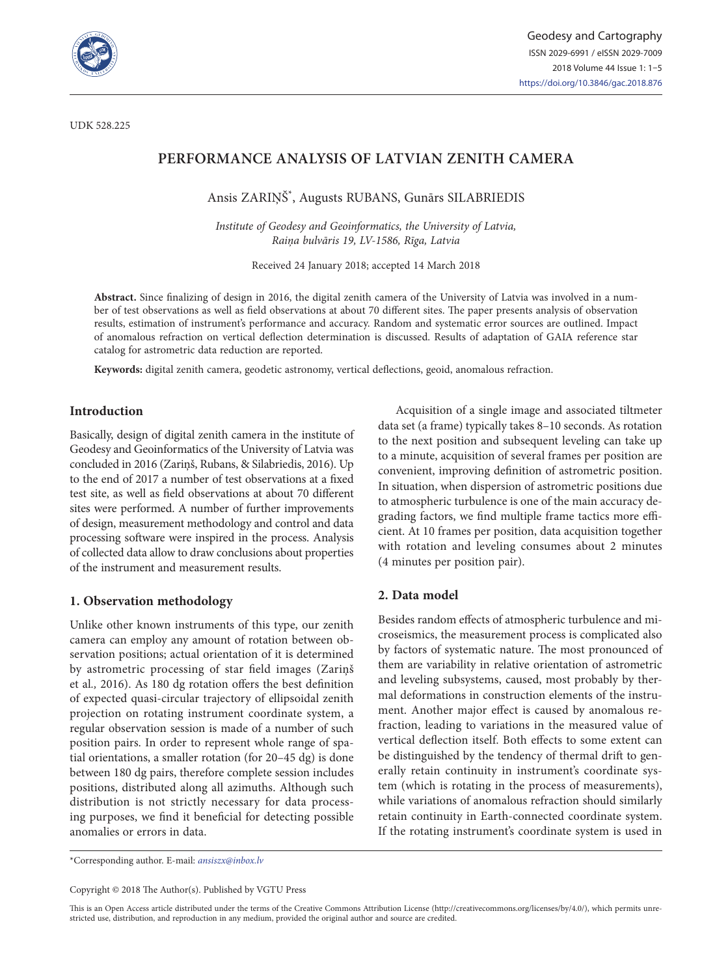

# **PERFORMANCE ANALYSIS OF LATVIAN ZENITH CAMERA**

Ansis ZARIŅŠ\* , Augusts RUBANS, Gunārs SILABRIEDIS

*Institute of Geodesy and Geoinformatics, the University of Latvia, Raiņa bulvāris 19, LV-1586, Rīga, Latvia*

Received 24 January 2018; accepted 14 March 2018

**Abstract.** Since finalizing of design in 2016, the digital zenith camera of the University of Latvia was involved in a number of test observations as well as field observations at about 70 different sites. The paper presents analysis of observation results, estimation of instrument's performance and accuracy. Random and systematic error sources are outlined. Impact of anomalous refraction on vertical deflection determination is discussed. Results of adaptation of GAIA reference star catalog for astrometric data reduction are reported.

**Keywords:** digital zenith camera, geodetic astronomy, vertical deflections, geoid, anomalous refraction.

# **Introduction**

Basically, design of digital zenith camera in the institute of Geodesy and Geoinformatics of the University of Latvia was concluded in 2016 (Zariņš, Rubans, & Silabriedis, 2016). Up to the end of 2017 a number of test observations at a fixed test site, as well as field observations at about 70 different sites were performed. A number of further improvements of design, measurement methodology and control and data processing software were inspired in the process. Analysis of collected data allow to draw conclusions about properties of the instrument and measurement results.

#### **1. Observation methodology**

Unlike other known instruments of this type, our zenith camera can employ any amount of rotation between observation positions; actual orientation of it is determined by astrometric processing of star field images (Zariņš et al*.,* 2016). As 180 dg rotation offers the best definition of expected quasi-circular trajectory of ellipsoidal zenith projection on rotating instrument coordinate system, a regular observation session is made of a number of such position pairs. In order to represent whole range of spatial orientations, a smaller rotation (for 20–45 dg) is done between 180 dg pairs, therefore complete session includes positions, distributed along all azimuths. Although such distribution is not strictly necessary for data processing purposes, we find it beneficial for detecting possible anomalies or errors in data.

Acquisition of a single image and associated tiltmeter data set (a frame) typically takes 8–10 seconds. As rotation to the next position and subsequent leveling can take up to a minute, acquisition of several frames per position are convenient, improving definition of astrometric position. In situation, when dispersion of astrometric positions due to atmospheric turbulence is one of the main accuracy degrading factors, we find multiple frame tactics more efficient. At 10 frames per position, data acquisition together with rotation and leveling consumes about 2 minutes (4 minutes per position pair).

#### **2. Data model**

Besides random effects of atmospheric turbulence and microseismics, the measurement process is complicated also by factors of systematic nature. The most pronounced of them are variability in relative orientation of astrometric and leveling subsystems, caused, most probably by thermal deformations in construction elements of the instrument. Another major effect is caused by anomalous refraction, leading to variations in the measured value of vertical deflection itself. Both effects to some extent can be distinguished by the tendency of thermal drift to generally retain continuity in instrument's coordinate system (which is rotating in the process of measurements), while variations of anomalous refraction should similarly retain continuity in Earth-connected coordinate system. If the rotating instrument's coordinate system is used in

\*Corresponding author. E-mail: *[ansiszx@inbox.lv](mailto:ansiszx@inbox.lv)*

Copyright © 2018 The Author(s). Published by VGTU Press

This is an Open Access article distributed under the terms of the Creative Commons Attribution License (<http://creativecommons.org/licenses/by/4.0/>), which permits unrestricted use, distribution, and reproduction in any medium, provided the original author and source are credited.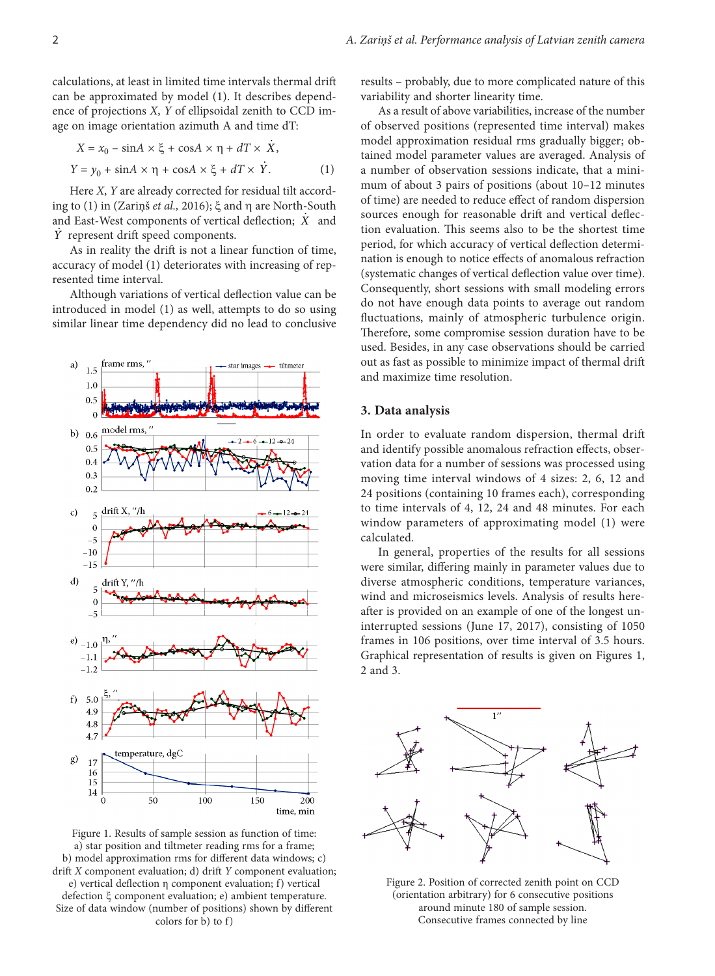calculations, at least in limited time intervals thermal drift can be approximated by model (1). It describes dependence of projections *X*, *Y* of ellipsoidal zenith to CCD image on image orientation azimuth A and time dT:

$$
X = x_0 - \sin A \times \xi + \cos A \times \eta + dT \times \dot{X},
$$
  
\n
$$
Y = y_0 + \sin A \times \eta + \cos A \times \xi + dT \times \dot{Y}.
$$
 (1)

Here *X*, *Y* are already corrected for residual tilt according to (1) in (Zariņš *et al.,* 2016); ξ and η are North-South and East-West components of vertical deflection; *X* and *Y* represent drift speed components.

As in reality the drift is not a linear function of time, accuracy of model (1) deteriorates with increasing of represented time interval.

Although variations of vertical deflection value can be introduced in model (1) as well, attempts to do so using similar linear time dependency did no lead to conclusive



Figure 1. Results of sample session as function of time: a) star position and tiltmeter reading rms for a frame; b) model approximation rms for different data windows; c) drift *X* component evaluation; d) drift *Y* component evaluation; e) vertical deflection η component evaluation; f) vertical defection ξ component evaluation; e) ambient temperature. Size of data window (number of positions) shown by different colors for b) to f)

results – probably, due to more complicated nature of this variability and shorter linearity time.

As a result of above variabilities, increase of the number of observed positions (represented time interval) makes model approximation residual rms gradually bigger; obtained model parameter values are averaged. Analysis of a number of observation sessions indicate, that a minimum of about 3 pairs of positions (about 10–12 minutes of time) are needed to reduce effect of random dispersion sources enough for reasonable drift and vertical deflection evaluation. This seems also to be the shortest time period, for which accuracy of vertical deflection determination is enough to notice effects of anomalous refraction (systematic changes of vertical deflection value over time). Consequently, short sessions with small modeling errors do not have enough data points to average out random fluctuations, mainly of atmospheric turbulence origin. Therefore, some compromise session duration have to be used. Besides, in any case observations should be carried out as fast as possible to minimize impact of thermal drift and maximize time resolution.

#### **3. Data analysis**

In order to evaluate random dispersion, thermal drift and identify possible anomalous refraction effects, observation data for a number of sessions was processed using moving time interval windows of 4 sizes: 2, 6, 12 and 24 positions (containing 10 frames each), corresponding to time intervals of 4, 12, 24 and 48 minutes. For each window parameters of approximating model (1) were calculated.

In general, properties of the results for all sessions were similar, differing mainly in parameter values due to diverse atmospheric conditions, temperature variances, wind and microseismics levels. Analysis of results hereafter is provided on an example of one of the longest uninterrupted sessions (June 17, 2017), consisting of 1050 frames in 106 positions, over time interval of 3.5 hours. Graphical representation of results is given on Figures 1, 2 and 3.



Figure 2. Position of corrected zenith point on CCD (orientation arbitrary) for 6 consecutive positions around minute 180 of sample session. Consecutive frames connected by line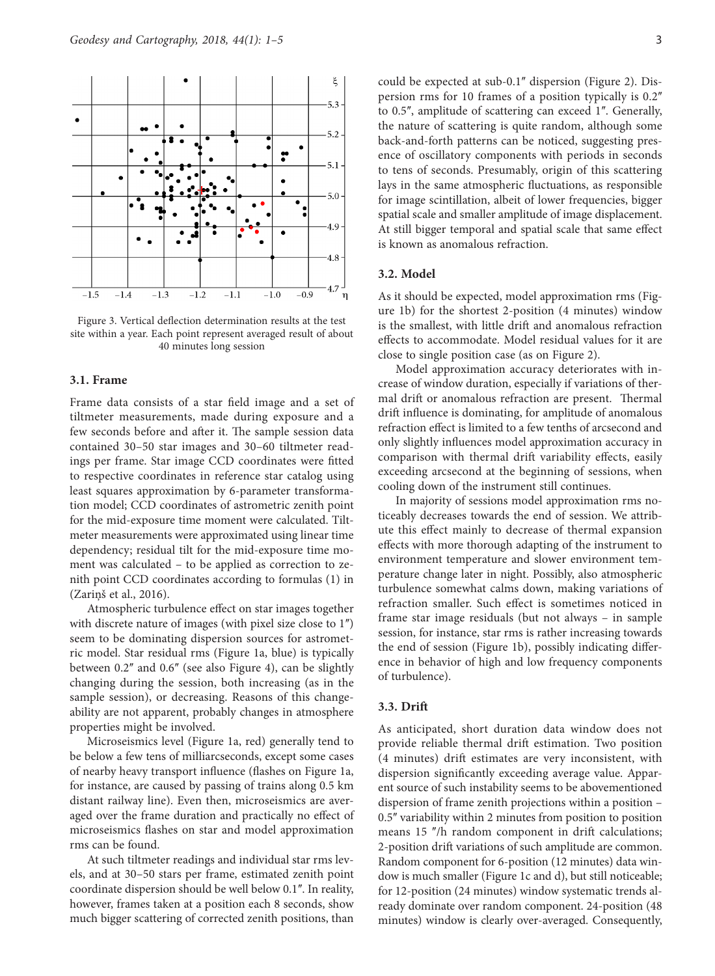

Figure 3. Vertical deflection determination results at the test site within a year. Each point represent averaged result of about 40 minutes long session

# **3.1. Frame**

Frame data consists of a star field image and a set of tiltmeter measurements, made during exposure and a few seconds before and after it. The sample session data contained 30–50 star images and 30–60 tiltmeter readings per frame. Star image CCD coordinates were fitted to respective coordinates in reference star catalog using least squares approximation by 6-parameter transformation model; CCD coordinates of astrometric zenith point for the mid-exposure time moment were calculated. Tiltmeter measurements were approximated using linear time dependency; residual tilt for the mid-exposure time moment was calculated – to be applied as correction to zenith point CCD coordinates according to formulas (1) in (Zariņš et al., 2016).

Atmospheric turbulence effect on star images together with discrete nature of images (with pixel size close to 1") seem to be dominating dispersion sources for astrometric model. Star residual rms (Figure 1a, blue) is typically between 0.2" and 0.6" (see also Figure 4), can be slightly changing during the session, both increasing (as in the sample session), or decreasing. Reasons of this changeability are not apparent, probably changes in atmosphere properties might be involved.

Microseismics level (Figure 1a, red) generally tend to be below a few tens of milliarcseconds, except some cases of nearby heavy transport influence (flashes on Figure 1a, for instance, are caused by passing of trains along 0.5 km distant railway line). Even then, microseismics are averaged over the frame duration and practically no effect of microseismics flashes on star and model approximation rms can be found.

At such tiltmeter readings and individual star rms levels, and at 30–50 stars per frame, estimated zenith point coordinate dispersion should be well below 0.1". In reality, however, frames taken at a position each 8 seconds, show much bigger scattering of corrected zenith positions, than could be expected at sub-0.1" dispersion (Figure 2). Dispersion rms for 10 frames of a position typically is 0.2" to 0.5", amplitude of scattering can exceed 1". Generally, the nature of scattering is quite random, although some back-and-forth patterns can be noticed, suggesting presence of oscillatory components with periods in seconds to tens of seconds. Presumably, origin of this scattering lays in the same atmospheric fluctuations, as responsible for image scintillation, albeit of lower frequencies, bigger spatial scale and smaller amplitude of image displacement. At still bigger temporal and spatial scale that same effect is known as anomalous refraction.

# **3.2. Model**

As it should be expected, model approximation rms (Figure 1b) for the shortest 2-position (4 minutes) window is the smallest, with little drift and anomalous refraction effects to accommodate. Model residual values for it are close to single position case (as on Figure 2).

Model approximation accuracy deteriorates with increase of window duration, especially if variations of thermal drift or anomalous refraction are present. Thermal drift influence is dominating, for amplitude of anomalous refraction effect is limited to a few tenths of arcsecond and only slightly influences model approximation accuracy in comparison with thermal drift variability effects, easily exceeding arcsecond at the beginning of sessions, when cooling down of the instrument still continues.

In majority of sessions model approximation rms noticeably decreases towards the end of session. We attribute this effect mainly to decrease of thermal expansion effects with more thorough adapting of the instrument to environment temperature and slower environment temperature change later in night. Possibly, also atmospheric turbulence somewhat calms down, making variations of refraction smaller. Such effect is sometimes noticed in frame star image residuals (but not always – in sample session, for instance, star rms is rather increasing towards the end of session (Figure 1b), possibly indicating difference in behavior of high and low frequency components of turbulence).

#### **3.3. Drift**

As anticipated, short duration data window does not provide reliable thermal drift estimation. Two position (4 minutes) drift estimates are very inconsistent, with dispersion significantly exceeding average value. Apparent source of such instability seems to be abovementioned dispersion of frame zenith projections within a position – 0.5" variability within 2 minutes from position to position means 15 "/h random component in drift calculations; 2-position drift variations of such amplitude are common. Random component for 6-position (12 minutes) data window is much smaller (Figure 1c and d), but still noticeable; for 12-position (24 minutes) window systematic trends already dominate over random component. 24-position (48 minutes) window is clearly over-averaged. Consequently,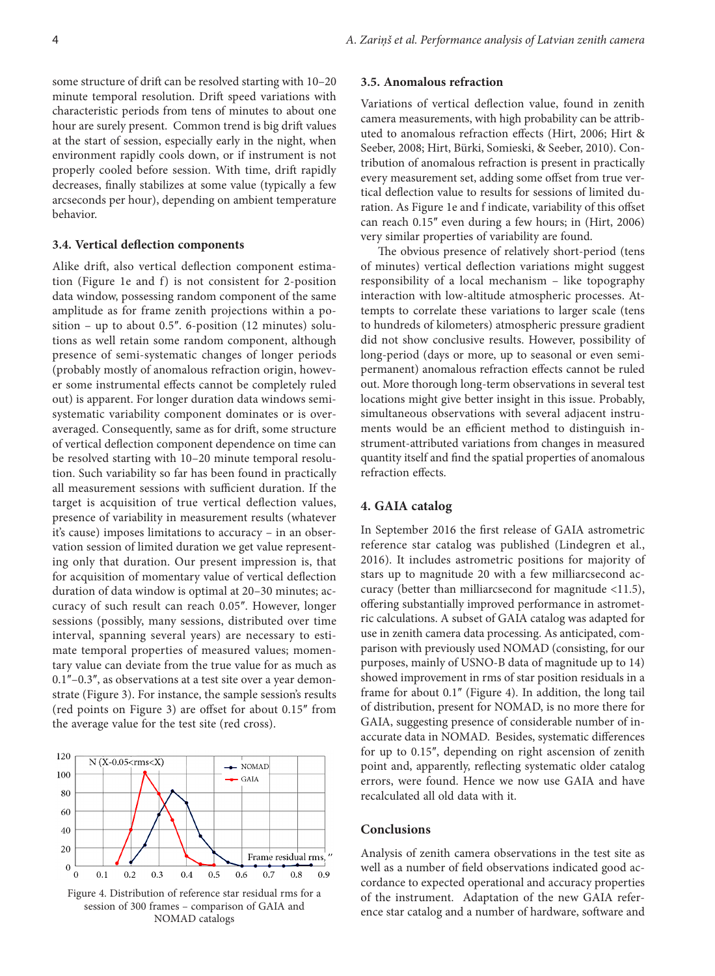some structure of drift can be resolved starting with 10–20 minute temporal resolution. Drift speed variations with characteristic periods from tens of minutes to about one hour are surely present. Common trend is big drift values at the start of session, especially early in the night, when environment rapidly cools down, or if instrument is not properly cooled before session. With time, drift rapidly decreases, finally stabilizes at some value (typically a few arcseconds per hour), depending on ambient temperature behavior.

## **3.4. Vertical deflection components**

Alike drift, also vertical deflection component estimation (Figure 1e and f) is not consistent for 2-position data window, possessing random component of the same amplitude as for frame zenith projections within a position – up to about  $0.5$ ". 6-position (12 minutes) solutions as well retain some random component, although presence of semi-systematic changes of longer periods (probably mostly of anomalous refraction origin, however some instrumental effects cannot be completely ruled out) is apparent. For longer duration data windows semisystematic variability component dominates or is overaveraged. Consequently, same as for drift, some structure of vertical deflection component dependence on time can be resolved starting with 10–20 minute temporal resolution. Such variability so far has been found in practically all measurement sessions with sufficient duration. If the target is acquisition of true vertical deflection values, presence of variability in measurement results (whatever it's cause) imposes limitations to accuracy – in an observation session of limited duration we get value representing only that duration. Our present impression is, that for acquisition of momentary value of vertical deflection duration of data window is optimal at 20–30 minutes; accuracy of such result can reach 0.05". However, longer sessions (possibly, many sessions, distributed over time interval, spanning several years) are necessary to estimate temporal properties of measured values; momentary value can deviate from the true value for as much as 0.1"-0.3", as observations at a test site over a year demonstrate (Figure 3). For instance, the sample session's results (red points on Figure 3) are offset for about 0.15" from the average value for the test site (red cross).



Figure 4. Distribution of reference star residual rms for a session of 300 frames – comparison of GAIA and NOMAD catalogs

## **3.5. Anomalous refraction**

Variations of vertical deflection value, found in zenith camera measurements, with high probability can be attributed to anomalous refraction effects (Hirt, 2006; Hirt & Seeber, 2008; Hirt, Bürki, Somieski, & Seeber, 2010). Contribution of anomalous refraction is present in practically every measurement set, adding some offset from true vertical deflection value to results for sessions of limited duration. As Figure 1e and f indicate, variability of this offset can reach 0.15" even during a few hours; in (Hirt, 2006) very similar properties of variability are found.

The obvious presence of relatively short-period (tens of minutes) vertical deflection variations might suggest responsibility of a local mechanism – like topography interaction with low-altitude atmospheric processes. Attempts to correlate these variations to larger scale (tens to hundreds of kilometers) atmospheric pressure gradient did not show conclusive results. However, possibility of long-period (days or more, up to seasonal or even semipermanent) anomalous refraction effects cannot be ruled out. More thorough long-term observations in several test locations might give better insight in this issue. Probably, simultaneous observations with several adjacent instruments would be an efficient method to distinguish instrument-attributed variations from changes in measured quantity itself and find the spatial properties of anomalous refraction effects.

## **4. GAIA catalog**

In September 2016 the first release of GAIA astrometric reference star catalog was published (Lindegren et al., 2016). It includes astrometric positions for majority of stars up to magnitude 20 with a few milliarcsecond accuracy (better than milliarcsecond for magnitude <11.5), offering substantially improved performance in astrometric calculations. A subset of GAIA catalog was adapted for use in zenith camera data processing. As anticipated, comparison with previously used NOMAD (consisting, for our purposes, mainly of USNO-B data of magnitude up to 14) showed improvement in rms of star position residuals in a frame for about 0.1" (Figure 4). In addition, the long tail of distribution, present for NOMAD, is no more there for GAIA, suggesting presence of considerable number of inaccurate data in NOMAD. Besides, systematic differences for up to 0.15", depending on right ascension of zenith point and, apparently, reflecting systematic older catalog errors, were found. Hence we now use GAIA and have recalculated all old data with it.

# **Conclusions**

Analysis of zenith camera observations in the test site as well as a number of field observations indicated good accordance to expected operational and accuracy properties of the instrument. Adaptation of the new GAIA reference star catalog and a number of hardware, software and